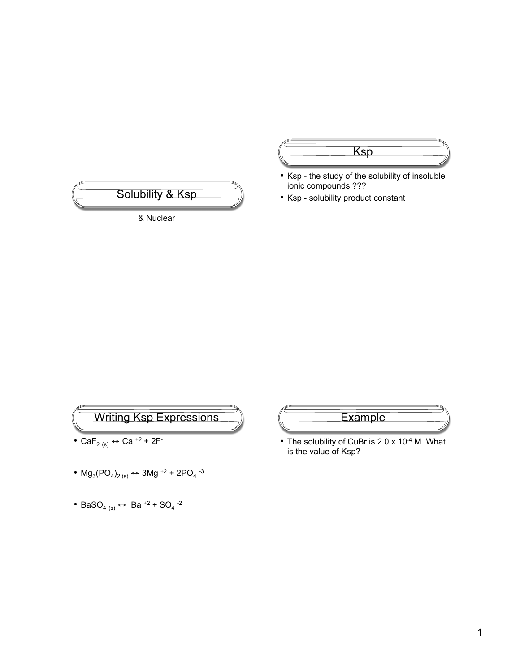

Ksp • Ksp - the study of the solubility of insoluble ionic compounds ???

• Ksp - solubility product constant



- Ca $F_{2 (s)} \leftrightarrow$  Ca<sup>+2</sup> + 2F
- $Mg_3(PO_4)_{2(s)} \leftrightarrow 3Mg^{+2} + 2PO_4^{-3}$
- BaSO<sub>4 (s)</sub>  $\leftrightarrow$  Ba<sup>+2</sup> + SO<sub>4</sub><sup>-2</sup>



• The solubility of CuBr is 2.0 x 10<sup>-4</sup> M. What is the value of Ksp?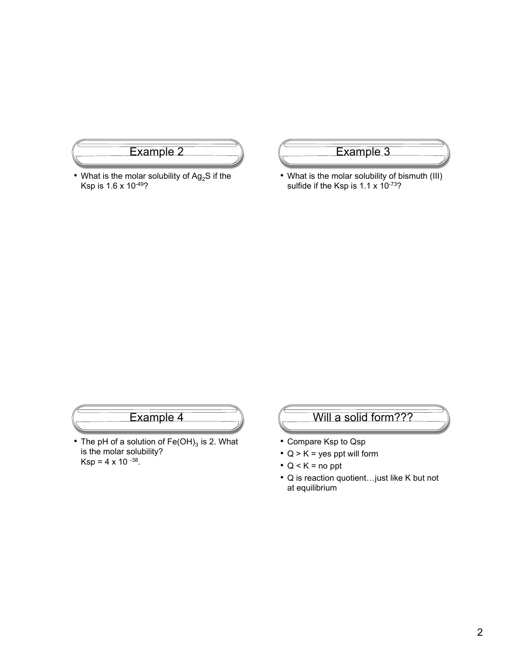

• What is the molar solubility of  $Ag_2S$  if the Ksp is 1.6 x 10-49?

## Example 3

• What is the molar solubility of bismuth (III) sulfide if the Ksp is  $1.1 \times 10^{-73}$ ?

### Example 4

• The pH of a solution of  $Fe(OH)_3$  is 2. What is the molar solubility? Ksp = 4 x 10  $-38$ .

### Will a solid form???

- Compare Ksp to Qsp
- $Q > K =$  yes ppt will form
- $Q < K =$  no ppt
- Q is reaction quotient…just like K but not at equilibrium